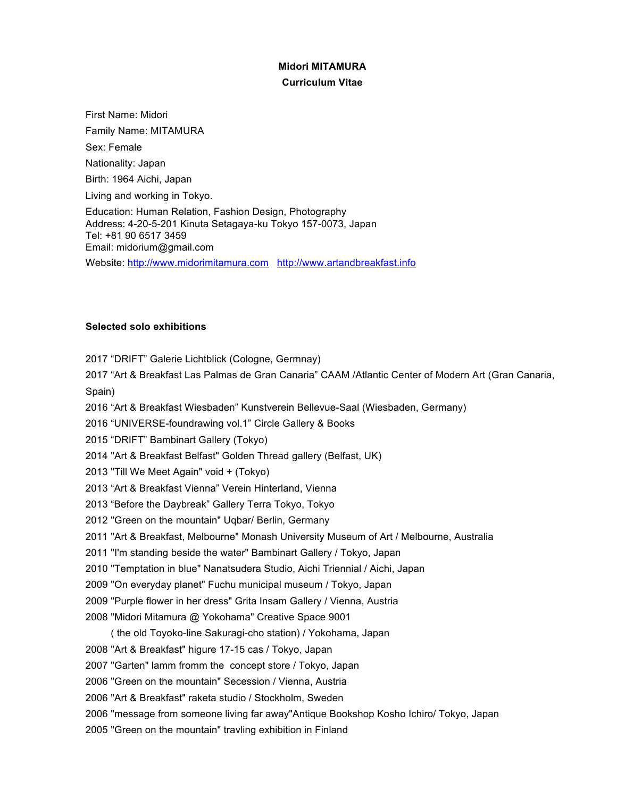## **Midori MITAMURA**

## **Curriculum Vitae**

First Name: Midori Family Name: MITAMURA Sex: Female Nationality: Japan Birth: 1964 Aichi, Japan Living and working in Tokyo. Education: Human Relation, Fashion Design, Photography Address: 4-20-5-201 Kinuta Setagaya-ku Tokyo 157-0073, Japan Tel: +81 90 6517 3459 Email: midorium@gmail.com

Website: http://www.midorimitamura.com http://www.artandbreakfast.info

## **Selected solo exhibitions**

2017 "DRIFT" Galerie Lichtblick (Cologne, Germnay)

2017 "Art & Breakfast Las Palmas de Gran Canaria" CAAM /Atlantic Center of Modern Art (Gran Canaria, Spain)

2016 "Art & Breakfast Wiesbaden" Kunstverein Bellevue-Saal (Wiesbaden, Germany)

2016 "UNIVERSE-foundrawing vol.1" Circle Gallery & Books

2015 "DRIFT" Bambinart Gallery (Tokyo)

- 2014 "Art & Breakfast Belfast" Golden Thread gallery (Belfast, UK)
- 2013 "Till We Meet Again" void + (Tokyo)

2013 "Art & Breakfast Vienna" Verein Hinterland, Vienna

- 2013 "Before the Daybreak" Gallery Terra Tokyo, Tokyo
- 2012 "Green on the mountain" Uqbar/ Berlin, Germany
- 2011 "Art & Breakfast, Melbourne" Monash University Museum of Art / Melbourne, Australia
- 2011 "I'm standing beside the water" Bambinart Gallery / Tokyo, Japan
- 2010 "Temptation in blue" Nanatsudera Studio, Aichi Triennial / Aichi, Japan
- 2009 "On everyday planet" Fuchu municipal museum / Tokyo, Japan

2009 "Purple flower in her dress" Grita Insam Gallery / Vienna, Austria

2008 "Midori Mitamura @ Yokohama" Creative Space 9001

( the old Toyoko-line Sakuragi-cho station) / Yokohama, Japan

2008 "Art & Breakfast" higure 17-15 cas / Tokyo, Japan

2007 "Garten" lamm fromm the concept store / Tokyo, Japan

2006 "Green on the mountain" Secession / Vienna, Austria

2006 "Art & Breakfast" raketa studio / Stockholm, Sweden

2006 "message from someone living far away"Antique Bookshop Kosho Ichiro/ Tokyo, Japan

2005 "Green on the mountain" travling exhibition in Finland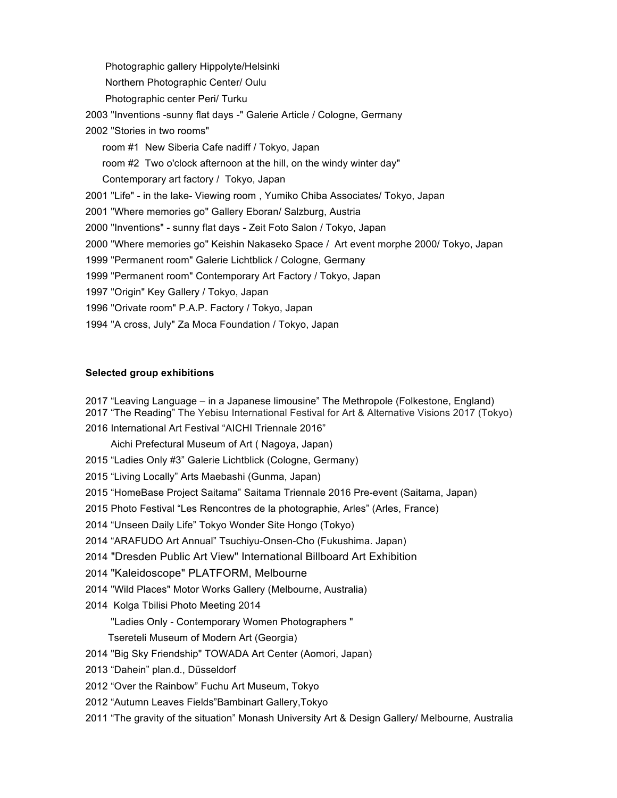Photographic gallery Hippolyte/Helsinki Northern Photographic Center/ Oulu Photographic center Peri/ Turku 2003 "Inventions -sunny flat days -" Galerie Article / Cologne, Germany 2002 "Stories in two rooms" room #1 New Siberia Cafe nadiff / Tokyo, Japan room #2 Two o'clock afternoon at the hill, on the windy winter day" Contemporary art factory / Tokyo, Japan 2001 "Life" - in the lake- Viewing room , Yumiko Chiba Associates/ Tokyo, Japan 2001 "Where memories go" Gallery Eboran/ Salzburg, Austria 2000 "Inventions" - sunny flat days - Zeit Foto Salon / Tokyo, Japan 2000 "Where memories go" Keishin Nakaseko Space / Art event morphe 2000/ Tokyo, Japan 1999 "Permanent room" Galerie Lichtblick / Cologne, Germany 1999 "Permanent room" Contemporary Art Factory / Tokyo, Japan 1997 "Origin" Key Gallery / Tokyo, Japan 1996 "Orivate room" P.A.P. Factory / Tokyo, Japan 1994 "A cross, July" Za Moca Foundation / Tokyo, Japan

## **Selected group exhibitions**

- 2017 "Leaving Language in a Japanese limousine" The Methropole (Folkestone, England)
- 2017 "The Reading" The Yebisu International Festival for Art & Alternative Visions 2017 (Tokyo)
- 2016 International Art Festival "AICHI Triennale 2016"
	- Aichi Prefectural Museum of Art ( Nagoya, Japan)
- 2015 "Ladies Only #3" Galerie Lichtblick (Cologne, Germany)
- 2015 "Living Locally" Arts Maebashi (Gunma, Japan)
- 2015 "HomeBase Project Saitama" Saitama Triennale 2016 Pre-event (Saitama, Japan)
- 2015 Photo Festival "Les Rencontres de la photographie, Arles" (Arles, France)
- 2014 "Unseen Daily Life" Tokyo Wonder Site Hongo (Tokyo)
- 2014 "ARAFUDO Art Annual" Tsuchiyu-Onsen-Cho (Fukushima. Japan)
- 2014 "Dresden Public Art View" International Billboard Art Exhibition
- 2014 "Kaleidoscope" PLATFORM, Melbourne
- 2014 "Wild Places" Motor Works Gallery (Melbourne, Australia)
- 2014 Kolga Tbilisi Photo Meeting 2014
	- "Ladies Only Contemporary Women Photographers "
	- Tsereteli Museum of Modern Art (Georgia)
- 2014 "Big Sky Friendship" TOWADA Art Center (Aomori, Japan)
- 2013 "Dahein" plan.d., Düsseldorf
- 2012 "Over the Rainbow" Fuchu Art Museum, Tokyo
- 2012 "Autumn Leaves Fields"Bambinart Gallery,Tokyo
- 2011 "The gravity of the situation" Monash University Art & Design Gallery/ Melbourne, Australia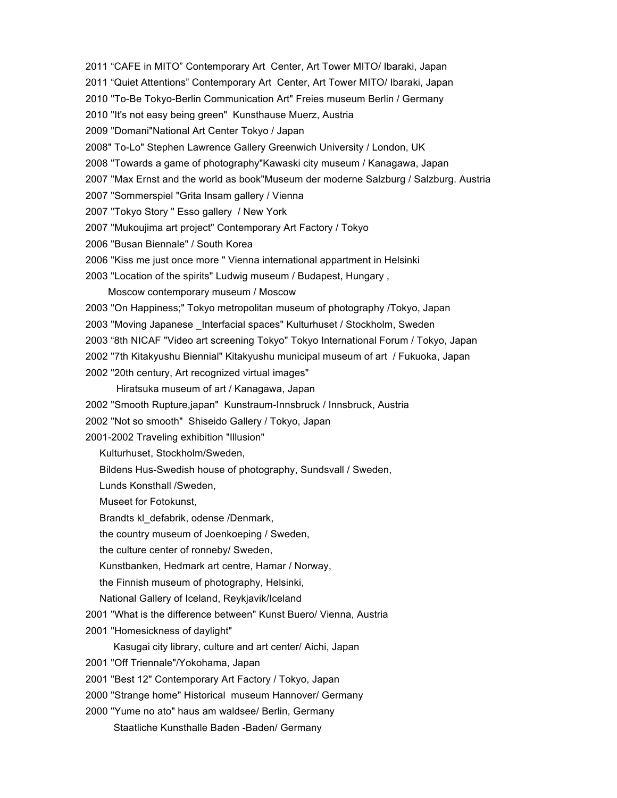- 2011 "CAFE in MITO" Contemporary Art Center, Art Tower MITO/ Ibaraki, Japan
- 2011 "Quiet Attentions" Contemporary Art Center, Art Tower MITO/ Ibaraki, Japan
- 2010 "To-Be Tokyo-Berlin Communication Art" Freies museum Berlin / Germany
- 2010 "It's not easy being green" Kunsthause Muerz, Austria
- 2009 "Domani"National Art Center Tokyo / Japan
- 2008" To-Lo" Stephen Lawrence Gallery Greenwich University / London, UK
- 2008 "Towards a game of photography"Kawaski city museum / Kanagawa, Japan
- 2007 "Max Ernst and the world as book"Museum der moderne Salzburg / Salzburg. Austria
- 2007 "Sommerspiel "Grita Insam gallery / Vienna
- 2007 "Tokyo Story " Esso gallery / New York
- 2007 "Mukoujima art project" Contemporary Art Factory / Tokyo
- 2006 "Busan Biennale" / South Korea
- 2006 "Kiss me just once more " Vienna international appartment in Helsinki
- 2003 "Location of the spirits" Ludwig museum / Budapest, Hungary ,
	- Moscow contemporary museum / Moscow
- 2003 "On Happiness;" Tokyo metropolitan museum of photography /Tokyo, Japan
- 2003 "Moving Japanese Interfacial spaces" Kulturhuset / Stockholm, Sweden
- 2003 "8th NICAF "Video art screening Tokyo" Tokyo International Forum / Tokyo, Japan
- 2002 "7th Kitakyushu Biennial" Kitakyushu municipal museum of art / Fukuoka, Japan
- 2002 "20th century, Art recognized virtual images"

Hiratsuka museum of art / Kanagawa, Japan

- 2002 "Smooth Rupture,japan" Kunstraum-Innsbruck / Innsbruck, Austria
- 2002 "Not so smooth" Shiseido Gallery / Tokyo, Japan
- 2001-2002 Traveling exhibition "Illusion"

Kulturhuset, Stockholm/Sweden,

- Bildens Hus-Swedish house of photography, Sundsvall / Sweden,
- Lunds Konsthall /Sweden,
- Museet for Fotokunst,
- Brandts kl\_defabrik, odense /Denmark,
- the country museum of Joenkoeping / Sweden,
- the culture center of ronneby/ Sweden,
- Kunstbanken, Hedmark art centre, Hamar / Norway,
- the Finnish museum of photography, Helsinki,
- National Gallery of Iceland, Reykjavik/Iceland
- 2001 "What is the difference between" Kunst Buero/ Vienna, Austria
- 2001 "Homesickness of daylight"
	- Kasugai city library, culture and art center/ Aichi, Japan
- 2001 "Off Triennale"/Yokohama, Japan
- 2001 "Best 12" Contemporary Art Factory / Tokyo, Japan
- 2000 "Strange home" Historical museum Hannover/ Germany
- 2000 "Yume no ato" haus am waldsee/ Berlin, Germany Staatliche Kunsthalle Baden -Baden/ Germany